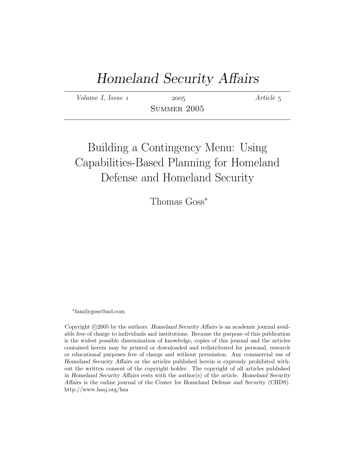# Homeland Security Affairs

 $Volume I, Issue 1$  2005  $Article 5$ 

Summer 2005

# Building a Contingency Menu: Using Capabilities-Based Planning for Homeland Defense and Homeland Security

Thomas Goss<sup>\*</sup>

∗ familygoss@aol.com

Copyright ©2005 by the authors. Homeland Security Affairs is an academic journal available free of charge to individuals and institutions. Because the purpose of this publication is the widest possible dissemination of knowledge, copies of this journal and the articles contained herein may be printed or downloaded and redistributed for personal, research or educational purposes free of charge and without permission. Any commercial use of Homeland Security Affairs or the articles published herein is expressly prohibited without the written consent of the copyright holder. The copyright of all articles published in Homeland Security Affairs rests with the author(s) of the article. Homeland Security Affairs is the online journal of the Center for Homeland Defense and Security (CHDS). http://www.hsaj.org/hsa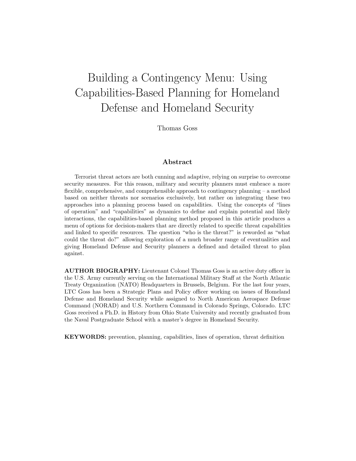# Building a Contingency Menu: Using Capabilities-Based Planning for Homeland Defense and Homeland Security

Thomas Goss

#### Abstract

Terrorist threat actors are both cunning and adaptive, relying on surprise to overcome security measures. For this reason, military and security planners must embrace a more flexible, comprehensive, and comprehensible approach to contingency planning – a method based on neither threats nor scenarios exclusively, but rather on integrating these two approaches into a planning process based on capabilities. Using the concepts of "lines of operation" and "capabilities" as dynamics to define and explain potential and likely interactions, the capabilities-based planning method proposed in this article produces a menu of options for decision-makers that are directly related to specific threat capabilities and linked to specific resources. The question "who is the threat?" is reworded as "what could the threat do?" allowing exploration of a much broader range of eventualities and giving Homeland Defense and Security planners a defined and detailed threat to plan against.

AUTHOR BIOGRAPHY: Lieutenant Colonel Thomas Goss is an active duty officer in the U.S. Army currently serving on the International Military Staff at the North Atlantic Treaty Organization (NATO) Headquarters in Brussels, Belgium. For the last four years, LTC Goss has been a Strategic Plans and Policy officer working on issues of Homeland Defense and Homeland Security while assigned to North American Aerospace Defense Command (NORAD) and U.S. Northern Command in Colorado Springs, Colorado. LTC Goss received a Ph.D. in History from Ohio State University and recently graduated from the Naval Postgraduate School with a master's degree in Homeland Security.

KEYWORDS: prevention, planning, capabilities, lines of operation, threat definition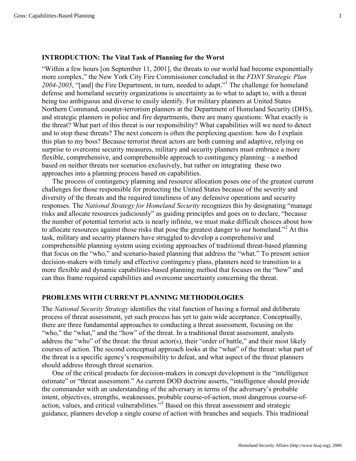#### **INTRODUCTION: The Vital Task of Planning for the Worst**

"Within a few hours [on September 11, 2001], the threats to our world had become exponentially more complex," the New York City Fire Commissioner concluded in the *FDNY Strategic Plan 2004-2005*, "[and] the Fire Department, in turn, needed to adapt."<sup>1</sup> The challenge for homeland defense and homeland security organizations is uncertainty as to what to adapt to, with a threat being too ambiguous and diverse to easily identify. For military planners at United States Northern Command, counter-terrorism planners at the Department of Homeland Security (DHS), and strategic planners in police and fire departments, there are many questions: What exactly is the threat? What part of this threat is our responsibility? What capabilities will we need to detect and to stop these threats? The next concern is often the perplexing question: how do I explain this plan to my boss? Because terrorist threat actors are both cunning and adaptive, relying on surprise to overcome security measures, military and security planners must embrace a more flexible, comprehensive, and comprehensible approach to contingency planning – a method based on neither threats nor scenarios exclusively, but rather on integrating these two approaches into a planning process based on capabilities.

The process of contingency planning and resource allocation poses one of the greatest current challenges for those responsible for protecting the United States because of the severity and diversity of the threats and the required timeliness of any defensive operations and security responses. The *National Strategy for Homeland Security* recognizes this by designating "manage risks and allocate resources judiciously" as guiding principles and goes on to declare, "because the number of potential terrorist acts is nearly infinite, we must make difficult choices about how to allocate resources against those risks that pose the greatest danger to our homeland."<sup>2</sup> At this task, military and security planners have struggled to develop a comprehensive and comprehensible planning system using existing approaches of traditional threat-based planning that focus on the "who," and scenario-based planning that address the "what." To present senior decision-makers with timely and effective contingency plans, planners need to transition to a more flexible and dynamic capabilities-based planning method that focuses on the "how" and can thus frame required capabilities and overcome uncertainty concerning the threat.

## **PROBLEMS WITH CURRENT PLANNING METHODOLOGIES**

The *National Security Strategy* identifies the vital function of having a formal and deliberate process of threat assessment, yet such process has yet to gain wide acceptance. Conceptually, there are three fundamental approaches to conducting a threat assessment, focusing on the "who," the "what," and the "how" of the threat. In a traditional threat assessment, analysts address the "who" of the threat: the threat actor(s), their "order of battle," and their most likely courses of action. The second conceptual approach looks at the "what" of the threat: what part of the threat is a specific agency's responsibility to defeat, and what aspect of the threat planners should address through threat scenarios.

One of the critical products for decision-makers in concept development is the "intelligence estimate" or "threat assessment." As current DOD doctrine asserts, "intelligence should provide the commander with an understanding of the adversary in terms of the adversary's probable intent, objectives, strengths, weaknesses, probable course-of-action, most dangerous course-ofaction, values, and critical vulnerabilities."<sup>3</sup> Based on this threat assessment and strategic guidance, planners develop a single course of action with branches and sequels. This traditional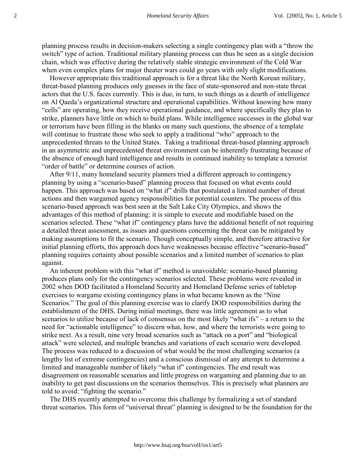planning process results in decision-makers selecting a single contingency plan with a "throw the switch" type of action. Traditional military planning process can thus be seen as a single decision chain, which was effective during the relatively stable strategic environment of the Cold War when even complex plans for major theater wars could go years with only slight modifications.

However appropriate this traditional approach is for a threat like the North Korean military, threat-based planning produces only guesses in the face of state-sponsored and non-state threat actors that the U.S. faces currently. This is due, in turn, to such things as a dearth of intelligence on Al Qaeda's organizational structure and operational capabilities. Without knowing how many "cells" are operating, how they receive operational guidance, and where specifically they plan to strike, planners have little on which to build plans. While intelligence successes in the global war or terrorism have been filling in the blanks on many such questions, the absence of a template will continue to frustrate those who seek to apply a traditional "who" approach to the unprecedented threats to the United States. Taking a traditional threat-based planning approach in an asymmetric and unprecedented threat environment can be inherently frustrating because of the absence of enough hard intelligence and results in continued inability to template a terrorist "order of battle" or determine courses of action.

After 9/11, many homeland security planners tried a different approach to contingency planning by using a "scenario-based" planning process that focused on what events could happen. This approach was based on "what if" drills that postulated a limited number of threat actions and then wargamed agency responsibilities for potential counters. The process of this scenario-based approach was best seen at the Salt Lake City Olympics, and shows the advantages of this method of planning: it is simple to execute and modifiable based on the scenarios selected. These "what if" contingency plans have the additional benefit of not requiring a detailed threat assessment, as issues and questions concerning the threat can be mitigated by making assumptions to fit the scenario. Though conceptually simple, and therefore attractive for initial planning efforts, this approach does have weaknesses because effective "scenario-based" planning requires certainty about possible scenarios and a limited number of scenarios to plan against.

An inherent problem with this "what if" method is unavoidable: scenario-based planning produces plans only for the contingency scenarios selected. These problems were revealed in 2002 when DOD facilitated a Homeland Security and Homeland Defense series of tabletop exercises to wargame existing contingency plans in what became known as the "Nine Scenarios." The goal of this planning exercise was to clarify DOD responsibilities during the establishment of the DHS. During initial meetings, there was little agreement as to what scenarios to utilize because of lack of consensus on the most likely "what ifs" – a return to the need for "actionable intelligence" to discern what, how, and where the terrorists were going to strike next. As a result, nine very broad scenarios such as "attack on a port" and "biological attack" were selected, and multiple branches and variations of each scenario were developed. The process was reduced to a discussion of what would be the most challenging scenarios (a lengthy list of extreme contingencies) and a conscious dismissal of any attempt to determine a limited and manageable number of likely "what if" contingencies. The end result was disagreement on reasonable scenarios and little progress on wargaming and planning due to an inability to get past discussions on the scenarios themselves. This is precisely what planners are told to avoid: "fighting the scenario."

The DHS recently attempted to overcome this challenge by formalizing a set of standard threat scenarios. This form of "universal threat" planning is designed to be the foundation for the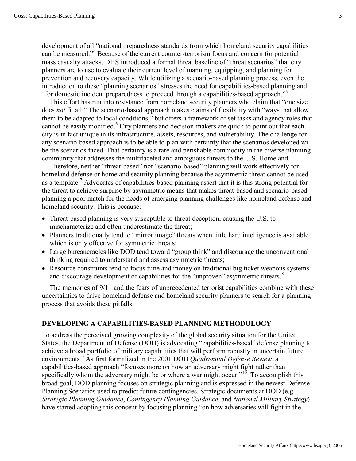development of all "national preparedness standards from which homeland security capabilities can be measured."<sup>4</sup> Because of the current counter-terrorism focus and concern for potential mass casualty attacks, DHS introduced a formal threat baseline of "threat scenarios" that city planners are to use to evaluate their current level of manning, equipping, and planning for prevention and recovery capacity. While utilizing a scenario-based planning process, even the introduction to these "planning scenarios" stresses the need for capabilities-based planning and "for domestic incident preparedness to proceed through a capabilities-based approach."<sup>5</sup>

This effort has run into resistance from homeland security planners who claim that "one size does *not* fit all." The scenario-based approach makes claims of flexibility with "ways that allow them to be adapted to local conditions," but offers a framework of set tasks and agency roles that cannot be easily modified.<sup>6</sup> City planners and decision-makers are quick to point out that each city is in fact unique in its infrastructure, assets, resources, and vulnerability. The challenge for any scenario-based approach is to be able to plan with certainty that the scenarios developed will be the scenarios faced. That certainty is a rare and perishable commodity in the diverse planning community that addresses the multifaceted and ambiguous threats to the U.S. Homeland.

Therefore, neither "threat-based" nor "scenario-based" planning will work effectively for homeland defense or homeland security planning because the asymmetric threat cannot be used as a template.<sup>7</sup> Advocates of capabilities-based planning assert that it is this strong potential for the threat to achieve surprise by asymmetric means that makes threat-based and scenario-based planning a poor match for the needs of emerging planning challenges like homeland defense and homeland security. This is because:

- Threat-based planning is very susceptible to threat deception, causing the U.S. to mischaracterize and often underestimate the threat;
- Planners traditionally tend to "mirror image" threats when little hard intelligence is available which is only effective for symmetric threats;
- Large bureaucracies like DOD tend toward "group think" and discourage the unconventional thinking required to understand and assess asymmetric threats;
- Resource constraints tend to focus time and money on traditional big ticket weapons systems and discourage development of capabilities for the "unproven" asymmetric threats. $8$

The memories of 9/11 and the fears of unprecedented terrorist capabilities combine with these uncertainties to drive homeland defense and homeland security planners to search for a planning process that avoids these pitfalls.

#### **DEVELOPING A CAPABILITIES-BASED PLANNING METHODOLOGY**

To address the perceived growing complexity of the global security situation for the United States, the Department of Defense (DOD) is advocating "capabilities-based" defense planning to achieve a broad portfolio of military capabilities that will perform robustly in uncertain future environments.9 As first formalized in the 2001 DOD *Quadrennial Defense Review*, a capabilities-based approach "focuses more on how an adversary might fight rather than specifically whom the adversary might be or where a war might occur." $10^{\circ}$  To accomplish this broad goal, DOD planning focuses on strategic planning and is expressed in the newest Defense Planning Scenarios used to predict future contingencies. Strategic documents at DOD (e.g. *Strategic Planning Guidance*, *Contingency Planning Guidance,* and *National Military Strategy*) have started adopting this concept by focusing planning "on how adversaries will fight in the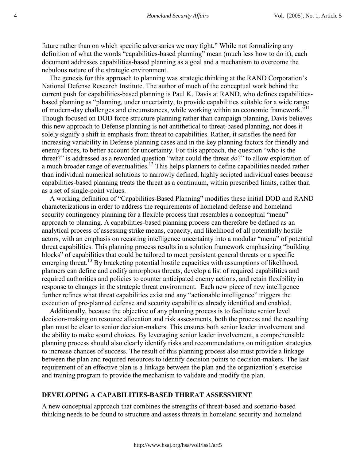future rather than on which specific adversaries we may fight." While not formalizing any definition of what the words "capabilities-based planning" mean (much less how to do it), each document addresses capabilities-based planning as a goal and a mechanism to overcome the nebulous nature of the strategic environment.

The genesis for this approach to planning was strategic thinking at the RAND Corporation's National Defense Research Institute. The author of much of the conceptual work behind the current push for capabilities-based planning is Paul K. Davis at RAND, who defines capabilitiesbased planning as "planning, under uncertainty, to provide capabilities suitable for a wide range of modern-day challenges and circumstances, while working within an economic framework."<sup>11</sup> Though focused on DOD force structure planning rather than campaign planning, Davis believes this new approach to Defense planning is not antithetical to threat-based planning, nor does it solely signify a shift in emphasis from threat to capabilities. Rather, it satisfies the need for increasing variability in Defense planning cases and in the key planning factors for friendly and enemy forces, to better account for uncertainty. For this approach, the question "who is the threat?" is addressed as a reworded question "what could the threat *do*?" to allow exploration of a much broader range of eventualities.<sup>12</sup> This helps planners to define capabilities needed rather than individual numerical solutions to narrowly defined, highly scripted individual cases because capabilities-based planning treats the threat as a continuum, within prescribed limits, rather than as a set of single-point values.

A working definition of "Capabilities-Based Planning" modifies these initial DOD and RAND characterizations in order to address the requirements of homeland defense and homeland security contingency planning for a flexible process that resembles a conceptual "menu" approach to planning. A capabilities-based planning process can therefore be defined as an analytical process of assessing strike means, capacity, and likelihood of all potentially hostile actors, with an emphasis on recasting intelligence uncertainty into a modular "menu" of potential threat capabilities. This planning process results in a solution framework emphasizing "building blocks" of capabilities that could be tailored to meet persistent general threats or a specific emerging threat.<sup>13</sup> By bracketing potential hostile capacities with assumptions of likelihood, planners can define and codify amorphous threats, develop a list of required capabilities and required authorities and policies to counter anticipated enemy actions, and retain flexibility in response to changes in the strategic threat environment. Each new piece of new intelligence further refines what threat capabilities exist and any "actionable intelligence" triggers the execution of pre-planned defense and security capabilities already identified and enabled.

Additionally, because the objective of any planning process is to facilitate senior level decision-making on resource allocation and risk assessments, both the process and the resulting plan must be clear to senior decision-makers. This ensures both senior leader involvement and the ability to make sound choices. By leveraging senior leader involvement, a comprehensible planning process should also clearly identify risks and recommendations on mitigation strategies to increase chances of success. The result of this planning process also must provide a linkage between the plan and required resources to identify decision points to decision-makers. The last requirement of an effective plan is a linkage between the plan and the organization's exercise and training program to provide the mechanism to validate and modify the plan.

#### **DEVELOPING A CAPABILITIES-BASED THREAT ASSESSMENT**

A new conceptual approach that combines the strengths of threat-based and scenario-based thinking needs to be found to structure and assess threats in homeland security and homeland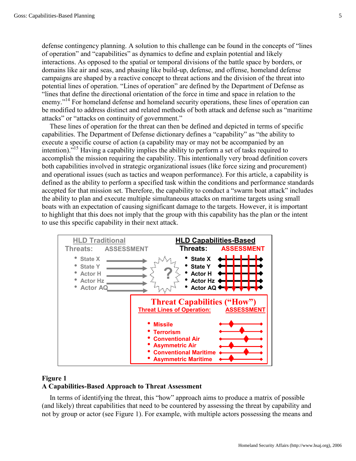defense contingency planning. A solution to this challenge can be found in the concepts of "lines of operation" and "capabilities" as dynamics to define and explain potential and likely interactions. As opposed to the spatial or temporal divisions of the battle space by borders, or domains like air and seas, and phasing like build-up, defense, and offense, homeland defense campaigns are shaped by a reactive concept to threat actions and the division of the threat into potential lines of operation. "Lines of operation" are defined by the Department of Defense as "lines that define the directional orientation of the force in time and space in relation to the enemy."<sup>14</sup> For homeland defense and homeland security operations, these lines of operation can be modified to address distinct and related methods of both attack and defense such as "maritime attacks" or "attacks on continuity of government."

These lines of operation for the threat can then be defined and depicted in terms of specific capabilities. The Department of Defense dictionary defines a "capability" as "the ability to execute a specific course of action (a capability may or may not be accompanied by an intention).<sup>"15</sup> Having a capability implies the ability to perform a set of tasks required to accomplish the mission requiring the capability. This intentionally very broad definition covers both capabilities involved in strategic organizational issues (like force sizing and procurement) and operational issues (such as tactics and weapon performance). For this article, a capability is defined as the ability to perform a specified task within the conditions and performance standards accepted for that mission set. Therefore, the capability to conduct a "swarm boat attack" includes the ability to plan and execute multiple simultaneous attacks on maritime targets using small boats with an expectation of causing significant damage to the targets. However, it is important to highlight that this does not imply that the group with this capability has the plan or the intent to use this specific capability in their next attack.



## **Figure 1 A Capabilities-Based Approach to Threat Assessment**

In terms of identifying the threat, this "how" approach aims to produce a matrix of possible (and likely) threat capabilities that need to be countered by assessing the threat by capability and not by group or actor (see Figure 1). For example, with multiple actors possessing the means and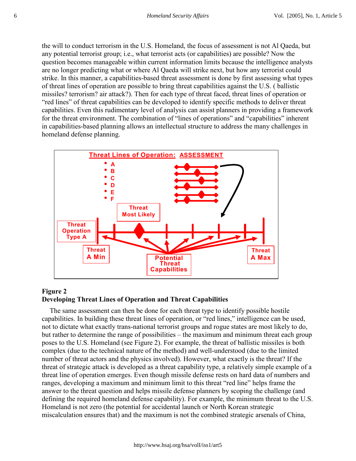the will to conduct terrorism in the U.S. Homeland, the focus of assessment is not Al Qaeda, but any potential terrorist group; i.e., what terrorist acts (or capabilities) are possible? Now the question becomes manageable within current information limits because the intelligence analysts are no longer predicting what or where Al Qaeda will strike next, but how any terrorist could strike. In this manner, a capabilities-based threat assessment is done by first assessing what types of threat lines of operation are possible to bring threat capabilities against the U.S. ( ballistic missiles? terrorism? air attack?). Then for each type of threat faced, threat lines of operation or "red lines" of threat capabilities can be developed to identify specific methods to deliver threat capabilities. Even this rudimentary level of analysis can assist planners in providing a framework for the threat environment. The combination of "lines of operations" and "capabilities" inherent in capabilities-based planning allows an intellectual structure to address the many challenges in homeland defense planning.



## **Figure 2 Developing Threat Lines of Operation and Threat Capabilities**

The same assessment can then be done for each threat type to identify possible hostile capabilities. In building these threat lines of operation, or "red lines," intelligence can be used, not to dictate what exactly trans-national terrorist groups and rogue states are most likely to do, but rather to determine the range of possibilities – the maximum and minimum threat each group poses to the U.S. Homeland (see Figure 2). For example, the threat of ballistic missiles is both complex (due to the technical nature of the method) and well-understood (due to the limited number of threat actors and the physics involved). However, what exactly is the threat? If the threat of strategic attack is developed as a threat capability type, a relatively simple example of a threat line of operation emerges. Even though missile defense rests on hard data of numbers and ranges, developing a maximum and minimum limit to this threat "red line" helps frame the answer to the threat question and helps missile defense planners by scoping the challenge (and defining the required homeland defense capability). For example, the minimum threat to the U.S. Homeland is not zero (the potential for accidental launch or North Korean strategic miscalculation ensures that) and the maximum is not the combined strategic arsenals of China,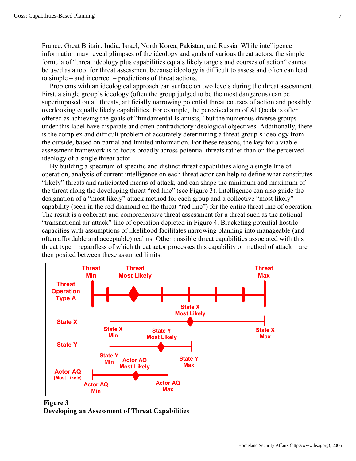France, Great Britain, India, Israel, North Korea, Pakistan, and Russia. While intelligence information may reveal glimpses of the ideology and goals of various threat actors, the simple formula of "threat ideology plus capabilities equals likely targets and courses of action" cannot be used as a tool for threat assessment because ideology is difficult to assess and often can lead to simple – and incorrect – predictions of threat actions.

Problems with an ideological approach can surface on two levels during the threat assessment. First, a single group's ideology (often the group judged to be the most dangerous) can be superimposed on all threats, artificially narrowing potential threat courses of action and possibly overlooking equally likely capabilities. For example, the perceived aim of Al Qaeda is often offered as achieving the goals of "fundamental Islamists," but the numerous diverse groups under this label have disparate and often contradictory ideological objectives. Additionally, there is the complex and difficult problem of accurately determining a threat group's ideology from the outside, based on partial and limited information. For these reasons, the key for a viable assessment framework is to focus broadly across potential threats rather than on the perceived ideology of a single threat actor.

By building a spectrum of specific and distinct threat capabilities along a single line of operation, analysis of current intelligence on each threat actor can help to define what constitutes "likely" threats and anticipated means of attack, and can shape the minimum and maximum of the threat along the developing threat "red line" (see Figure 3). Intelligence can also guide the designation of a "most likely" attack method for each group and a collective "most likely" capability (seen in the red diamond on the threat "red line") for the entire threat line of operation. The result is a coherent and comprehensive threat assessment for a threat such as the notional "transnational air attack" line of operation depicted in Figure 4. Bracketing potential hostile capacities with assumptions of likelihood facilitates narrowing planning into manageable (and often affordable and acceptable) realms. Other possible threat capabilities associated with this threat type – regardless of which threat actor processes this capability or method of attack – are then posited between these assumed limits.



**Figure 3 Developing an Assessment of Threat Capabilities**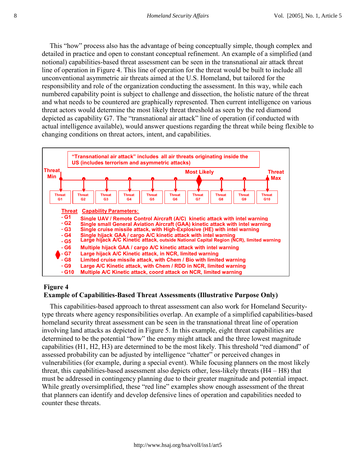This "how" process also has the advantage of being conceptually simple, though complex and detailed in practice and open to constant conceptual refinement. An example of a simplified (and notional) capabilities-based threat assessment can be seen in the transnational air attack threat line of operation in Figure 4. This line of operation for the threat would be built to include all unconventional asymmetric air threats aimed at the U.S. Homeland, but tailored for the responsibility and role of the organization conducting the assessment. In this way, while each numbered capability point is subject to challenge and dissection, the holistic nature of the threat and what needs to be countered are graphically represented. Then current intelligence on various threat actors would determine the most likely threat threshold as seen by the red diamond depicted as capability G7. The "transnational air attack" line of operation (if conducted with actual intelligence available), would answer questions regarding the threat while being flexible to changing conditions on threat actors, intent, and capabilities.



## **Figure 4**

## **Example of Capabilities-Based Threat Assessments (Illustrative Purpose Only)**

This capabilities-based approach to threat assessment can also work for Homeland Securitytype threats where agency responsibilities overlap. An example of a simplified capabilities-based homeland security threat assessment can be seen in the transnational threat line of operation involving land attacks as depicted in Figure 5. In this example, eight threat capabilities are determined to be the potential "how" the enemy might attack and the three lowest magnitude capabilities (H1, H2, H3) are determined to be the most likely. This threshold "red diamond" of assessed probability can be adjusted by intelligence "chatter" or perceived changes in vulnerabilities (for example, during a special event). While focusing planners on the most likely threat, this capabilities-based assessment also depicts other, less-likely threats (H4 – H8) that must be addressed in contingency planning due to their greater magnitude and potential impact. While greatly oversimplified, these "red line" examples show enough assessment of the threat that planners can identify and develop defensive lines of operation and capabilities needed to counter these threats.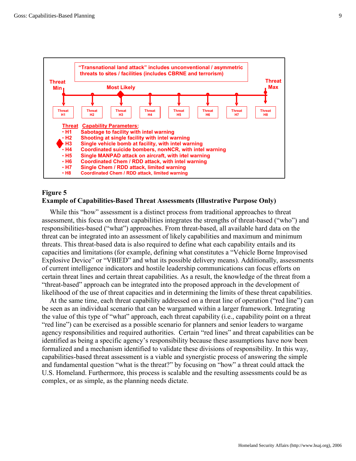

## **Figure 5**

## **Example of Capabilities-Based Threat Assessments (Illustrative Purpose Only)**

While this "how" assessment is a distinct process from traditional approaches to threat assessment, this focus on threat capabilities integrates the strengths of threat-based ("who") and responsibilities-based ("what") approaches. From threat-based, all available hard data on the threat can be integrated into an assessment of likely capabilities and maximum and minimum threats. This threat-based data is also required to define what each capability entails and its capacities and limitations (for example, defining what constitutes a "Vehicle Borne Improvised Explosive Device" or "VBIED" and what its possible delivery means). Additionally, assessments of current intelligence indicators and hostile leadership communications can focus efforts on certain threat lines and certain threat capabilities. As a result, the knowledge of the threat from a "threat-based" approach can be integrated into the proposed approach in the development of likelihood of the use of threat capacities and in determining the limits of these threat capabilities.

At the same time, each threat capability addressed on a threat line of operation ("red line") can be seen as an individual scenario that can be wargamed within a larger framework. Integrating the value of this type of "what" approach, each threat capability (i.e., capability point on a threat "red line") can be exercised as a possible scenario for planners and senior leaders to wargame agency responsibilities and required authorities. Certain "red lines" and threat capabilities can be identified as being a specific agency's responsibility because these assumptions have now been formalized and a mechanism identified to validate these divisions of responsibility. In this way, capabilities-based threat assessment is a viable and synergistic process of answering the simple and fundamental question "what is the threat?" by focusing on "how" a threat could attack the U.S. Homeland. Furthermore, this process is scalable and the resulting assessments could be as complex, or as simple, as the planning needs dictate.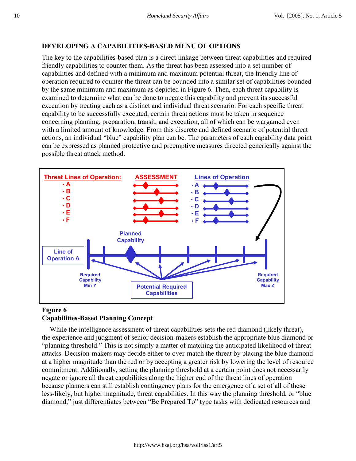## **DEVELOPING A CAPABILITIES-BASED MENU OF OPTIONS**

The key to the capabilities-based plan is a direct linkage between threat capabilities and required friendly capabilities to counter them. As the threat has been assessed into a set number of capabilities and defined with a minimum and maximum potential threat, the friendly line of operation required to counter the threat can be bounded into a similar set of capabilities bounded by the same minimum and maximum as depicted in Figure 6. Then, each threat capability is examined to determine what can be done to negate this capability and prevent its successful execution by treating each as a distinct and individual threat scenario. For each specific threat capability to be successfully executed, certain threat actions must be taken in sequence concerning planning, preparation, transit, and execution, all of which can be wargamed even with a limited amount of knowledge. From this discrete and defined scenario of potential threat actions, an individual "blue" capability plan can be. The parameters of each capability data point can be expressed as planned protective and preemptive measures directed generically against the possible threat attack method.



## **Figure 6 Capabilities-Based Planning Concept**

While the intelligence assessment of threat capabilities sets the red diamond (likely threat), the experience and judgment of senior decision-makers establish the appropriate blue diamond or "planning threshold." This is not simply a matter of matching the anticipated likelihood of threat attacks. Decision-makers may decide either to over-match the threat by placing the blue diamond at a higher magnitude than the red or by accepting a greater risk by lowering the level of resource commitment. Additionally, setting the planning threshold at a certain point does not necessarily negate or ignore all threat capabilities along the higher end of the threat lines of operation because planners can still establish contingency plans for the emergence of a set of all of these less-likely, but higher magnitude, threat capabilities. In this way the planning threshold, or "blue diamond," just differentiates between "Be Prepared To" type tasks with dedicated resources and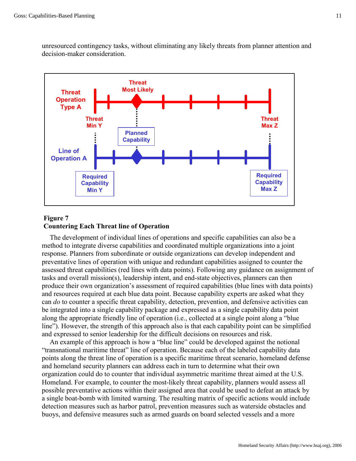unresourced contingency tasks, without eliminating any likely threats from planner attention and decision-maker consideration.



## **Figure 7 Countering Each Threat line of Operation**

The development of individual lines of operations and specific capabilities can also be a method to integrate diverse capabilities and coordinated multiple organizations into a joint response. Planners from subordinate or outside organizations can develop independent and preventative lines of operation with unique and redundant capabilities assigned to counter the assessed threat capabilities (red lines with data points). Following any guidance on assignment of tasks and overall mission(s), leadership intent, and end-state objectives, planners can then produce their own organization's assessment of required capabilities (blue lines with data points) and resources required at each blue data point. Because capability experts are asked what they can *do* to counter a specific threat capability, detection, prevention, and defensive activities can be integrated into a single capability package and expressed as a single capability data point along the appropriate friendly line of operation (i.e., collected at a single point along a "blue line"). However, the strength of this approach also is that each capability point can be simplified and expressed to senior leadership for the difficult decisions on resources and risk.

An example of this approach is how a "blue line" could be developed against the notional "transnational maritime threat" line of operation. Because each of the labeled capability data points along the threat line of operation is a specific maritime threat scenario, homeland defense and homeland security planners can address each in turn to determine what their own organization could do to counter that individual asymmetric maritime threat aimed at the U.S. Homeland. For example, to counter the most-likely threat capability, planners would assess all possible preventative actions within their assigned area that could be used to defeat an attack by a single boat-bomb with limited warning. The resulting matrix of specific actions would include detection measures such as harbor patrol, prevention measures such as waterside obstacles and buoys, and defensive measures such as armed guards on board selected vessels and a more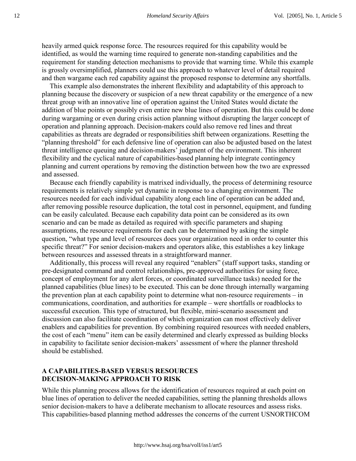heavily armed quick response force. The resources required for this capability would be identified, as would the warning time required to generate non-standing capabilities and the requirement for standing detection mechanisms to provide that warning time. While this example is grossly oversimplified, planners could use this approach to whatever level of detail required and then wargame each red capability against the proposed response to determine any shortfalls.

This example also demonstrates the inherent flexibility and adaptability of this approach to planning because the discovery or suspicion of a new threat capability or the emergence of a new threat group with an innovative line of operation against the United States would dictate the addition of blue points or possibly even entire new blue lines of operation. But this could be done during wargaming or even during crisis action planning without disrupting the larger concept of operation and planning approach. Decision-makers could also remove red lines and threat capabilities as threats are degraded or responsibilities shift between organizations. Resetting the "planning threshold" for each defensive line of operation can also be adjusted based on the latest threat intelligence queuing and decision-makers' judgment of the environment. This inherent flexibility and the cyclical nature of capabilities-based planning help integrate contingency planning and current operations by removing the distinction between how the two are expressed and assessed.

Because each friendly capability is matrixed individually, the process of determining resource requirements is relatively simple yet dynamic in response to a changing environment. The resources needed for each individual capability along each line of operation can be added and, after removing possible resource duplication, the total cost in personnel, equipment, and funding can be easily calculated. Because each capability data point can be considered as its own scenario and can be made as detailed as required with specific parameters and shaping assumptions, the resource requirements for each can be determined by asking the simple question, "what type and level of resources does your organization need in order to counter this specific threat?" For senior decision-makers and operators alike, this establishes a key linkage between resources and assessed threats in a straightforward manner.

Additionally, this process will reveal any required "enablers" (staff support tasks, standing or pre-designated command and control relationships, pre-approved authorities for using force, concept of employment for any alert forces, or coordinated surveillance tasks) needed for the planned capabilities (blue lines) to be executed. This can be done through internally wargaming the prevention plan at each capability point to determine what non-resource requirements – in communications, coordination, and authorities for example – were shortfalls or roadblocks to successful execution. This type of structured, but flexible, mini-scenario assessment and discussion can also facilitate coordination of which organization can most effectively deliver enablers and capabilities for prevention. By combining required resources with needed enablers, the cost of each "menu" item can be easily determined and clearly expressed as building blocks in capability to facilitate senior decision-makers' assessment of where the planner threshold should be established.

## **A CAPABILITIES-BASED VERSUS RESOURCES DECISION-MAKING APPROACH TO RISK**

While this planning process allows for the identification of resources required at each point on blue lines of operation to deliver the needed capabilities, setting the planning thresholds allows senior decision-makers to have a deliberate mechanism to allocate resources and assess risks. This capabilities-based planning method addresses the concerns of the current USNORTHCOM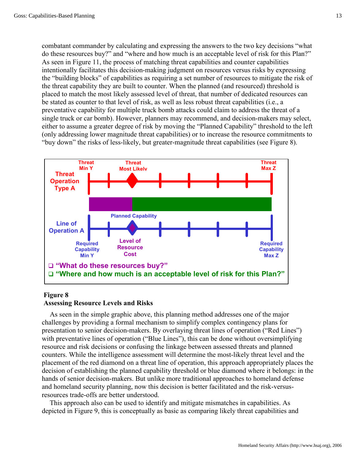combatant commander by calculating and expressing the answers to the two key decisions "what do these resources buy?" and "where and how much is an acceptable level of risk for this Plan?" As seen in Figure 11, the process of matching threat capabilities and counter capabilities intentionally facilitates this decision-making judgment on resources versus risks by expressing the "building blocks" of capabilities as requiring a set number of resources to mitigate the risk of the threat capability they are built to counter. When the planned (and resourced) threshold is placed to match the most likely assessed level of threat, that number of dedicated resources can be stated as counter to that level of risk, as well as less robust threat capabilities (i.e., a preventative capability for multiple truck bomb attacks could claim to address the threat of a single truck or car bomb). However, planners may recommend, and decision-makers may select, either to assume a greater degree of risk by moving the "Planned Capability" threshold to the left (only addressing lower magnitude threat capabilities) or to increase the resource commitments to "buy down" the risks of less-likely, but greater-magnitude threat capabilities (see Figure 8).



#### **Figure 8**

### **Assessing Resource Levels and Risks**

As seen in the simple graphic above, this planning method addresses one of the major challenges by providing a formal mechanism to simplify complex contingency plans for presentation to senior decision-makers. By overlaying threat lines of operation ("Red Lines") with preventative lines of operation ("Blue Lines"), this can be done without oversimplifying resource and risk decisions or confusing the linkage between assessed threats and planned counters. While the intelligence assessment will determine the most-likely threat level and the placement of the red diamond on a threat line of operation, this approach appropriately places the decision of establishing the planned capability threshold or blue diamond where it belongs: in the hands of senior decision-makers. But unlike more traditional approaches to homeland defense and homeland security planning, now this decision is better facilitated and the risk-versusresources trade-offs are better understood.

This approach also can be used to identify and mitigate mismatches in capabilities. As depicted in Figure 9, this is conceptually as basic as comparing likely threat capabilities and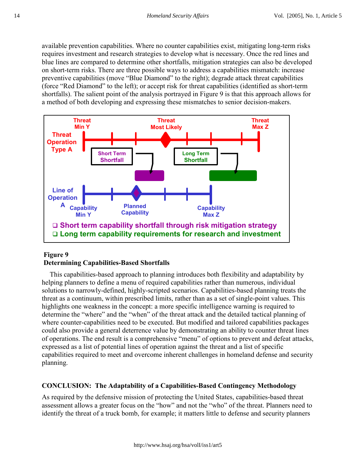available prevention capabilities. Where no counter capabilities exist, mitigating long-term risks requires investment and research strategies to develop what is necessary. Once the red lines and blue lines are compared to determine other shortfalls, mitigation strategies can also be developed on short-term risks. There are three possible ways to address a capabilities mismatch: increase preventive capabilities (move "Blue Diamond" to the right); degrade attack threat capabilities (force "Red Diamond" to the left); or accept risk for threat capabilities (identified as short-term shortfalls). The salient point of the analysis portrayed in Figure 9 is that this approach allows for a method of both developing and expressing these mismatches to senior decision-makers.



## **Figure 9 Determining Capabilities-Based Shortfalls**

This capabilities-based approach to planning introduces both flexibility and adaptability by helping planners to define a menu of required capabilities rather than numerous, individual solutions to narrowly-defined, highly-scripted scenarios. Capabilities-based planning treats the threat as a continuum, within prescribed limits, rather than as a set of single-point values. This highlights one weakness in the concept: a more specific intelligence warning is required to determine the "where" and the "when" of the threat attack and the detailed tactical planning of where counter-capabilities need to be executed. But modified and tailored capabilities packages could also provide a general deterrence value by demonstrating an ability to counter threat lines of operations. The end result is a comprehensive "menu" of options to prevent and defeat attacks, expressed as a list of potential lines of operation against the threat and a list of specific capabilities required to meet and overcome inherent challenges in homeland defense and security planning.

## **CONCLUSION: The Adaptability of a Capabilities-Based Contingency Methodology**

As required by the defensive mission of protecting the United States, capabilities-based threat assessment allows a greater focus on the "how" and not the "who" of the threat. Planners need to identify the threat of a truck bomb, for example; it matters little to defense and security planners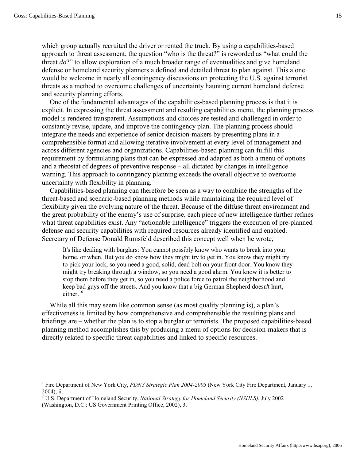which group actually recruited the driver or rented the truck. By using a capabilities-based approach to threat assessment, the question "who is the threat?" is reworded as "what could the threat *do*?" to allow exploration of a much broader range of eventualities and give homeland defense or homeland security planners a defined and detailed threat to plan against. This alone would be welcome in nearly all contingency discussions on protecting the U.S. against terrorist threats as a method to overcome challenges of uncertainty haunting current homeland defense and security planning efforts.

One of the fundamental advantages of the capabilities-based planning process is that it is explicit. In expressing the threat assessment and resulting capabilities menu, the planning process model is rendered transparent. Assumptions and choices are tested and challenged in order to constantly revise, update, and improve the contingency plan. The planning process should integrate the needs and experience of senior decision-makers by presenting plans in a comprehensible format and allowing iterative involvement at every level of management and across different agencies and organizations. Capabilities-based planning can fulfill this requirement by formulating plans that can be expressed and adapted as both a menu of options and a rheostat of degrees of preventive response – all dictated by changes in intelligence warning. This approach to contingency planning exceeds the overall objective to overcome uncertainty with flexibility in planning.

Capabilities-based planning can therefore be seen as a way to combine the strengths of the threat-based and scenario-based planning methods while maintaining the required level of flexibility given the evolving nature of the threat. Because of the diffuse threat environment and the great probability of the enemy's use of surprise, each piece of new intelligence further refines what threat capabilities exist. Any "actionable intelligence" triggers the execution of pre-planned defense and security capabilities with required resources already identified and enabled. Secretary of Defense Donald Rumsfeld described this concept well when he wrote,

It's like dealing with burglars: You cannot possibly know who wants to break into your home, or when. But you do know how they might try to get in. You know they might try to pick your lock, so you need a good, solid, dead bolt on your front door. You know they might try breaking through a window, so you need a good alarm. You know it is better to stop them before they get in, so you need a police force to patrol the neighborhood and keep bad guys off the streets. And you know that a big German Shepherd doesn't hurt, either. $16$ 

While all this may seem like common sense (as most quality planning is), a plan's effectiveness is limited by how comprehensive and comprehensible the resulting plans and briefings are – whether the plan is to stop a burglar or terrorists. The proposed capabilities-based planning method accomplishes this by producing a menu of options for decision-makers that is directly related to specific threat capabilities and linked to specific resources.

<sup>1</sup> Fire Department of New York City, *FDNY Strategic Plan 2004-2005* (New York City Fire Department, January 1, 2004), ii.

<sup>2</sup> U.S. Department of Homeland Security, *National Strategy for Homeland Security (NSHLS)*, July 2002

<sup>(</sup>Washington, D.C.: US Government Printing Office, 2002), 3.